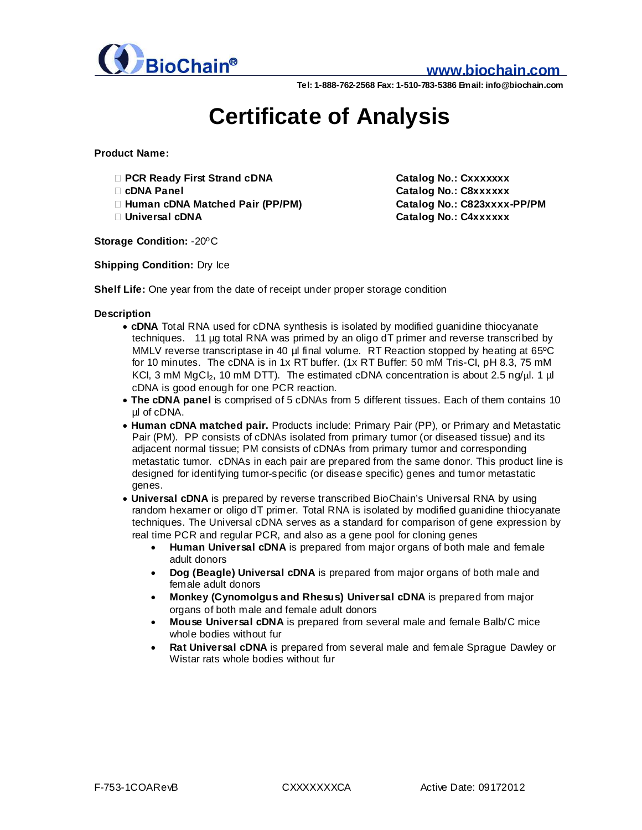

## **www.biochain.com**

**Tel: 1-888-762-2568 Fax: 1-510-783-5386 Email: info@biochain.com**

# **Certificate of Analysis**

**Product Name:**

- **› PCR Ready First Strand cDNA Catalog No.: Cxxxxxxx**
- 
- **› Human cDNA Matched Pair (PP/PM) Catalog No.: C823xxxx-PP/PM**
- 

**› cDNA Panel Catalog No.: C8xxxxxx › Universal cDNA Catalog No.: C4xxxxxx**

**Storage Condition:** -20ºC

**Shipping Condition:** Dry Ice

**Shelf Life:** One year from the date of receipt under proper storage condition

### **Description**

- **· cDNA** Total RNA used for cDNA synthesis is isolated by modified guanidine thiocyanate techniques. 11 µg total RNA was primed by an oligo dT primer and reverse transcribed by MMLV reverse transcriptase in 40 µl final volume. RT Reaction stopped by heating at 65°C for 10 minutes. The cDNA is in 1x RT buffer. (1x RT Buffer: 50 mM Tris-CI, pH 8.3, 75 mM KCI, 3 mM  $MgCl<sub>2</sub>$ , 10 mM DTT). The estimated cDNA concentration is about 2.5 ng/ $\mu$ l. 1  $\mu$ cDNA is good enough for one PCR reaction.
- **· The cDNA panel** is comprised of 5 cDNAs from 5 different tissues. Each of them contains 10 ul of cDNA.
- **· Human cDNA matched pair.** Products include: Primary Pair (PP), or Primary and Metastatic Pair (PM). PP consists of cDNAs isolated from primary tumor (or diseased tissue) and its adjacent normal tissue; PM consists of cDNAs from primary tumor and corresponding metastatic tumor. cDNAs in each pair are prepared from the same donor. This product line is designed for identifying tumor-specific (or disease specific) genes and tumor metastatic genes.
- **· Universal cDNA** is prepared by reverse transcribed BioChain's Universal RNA by using random hexamer or oligo dT primer. Total RNA is isolated by modified guanidine thiocyanate techniques. The Universal cDNA serves as a standard for comparison of gene expression by real time PCR and regular PCR, and also as a gene pool for cloning genes
	- · **Human Universal cDNA** is prepared from major organs of both male and female adult donors
	- · **Dog (Beagle) Universal cDNA** is prepared from major organs of both male and female adult donors
	- · **Monkey (Cynomolgus and Rhesus) Universal cDNA** is prepared from major organs of both male and female adult donors
	- · **Mouse Universal cDNA** is prepared from several male and female Balb/C mice whole bodies without fur
	- · **Rat Universal cDNA** is prepared from several male and female Sprague Dawley or Wistar rats whole bodies without fur